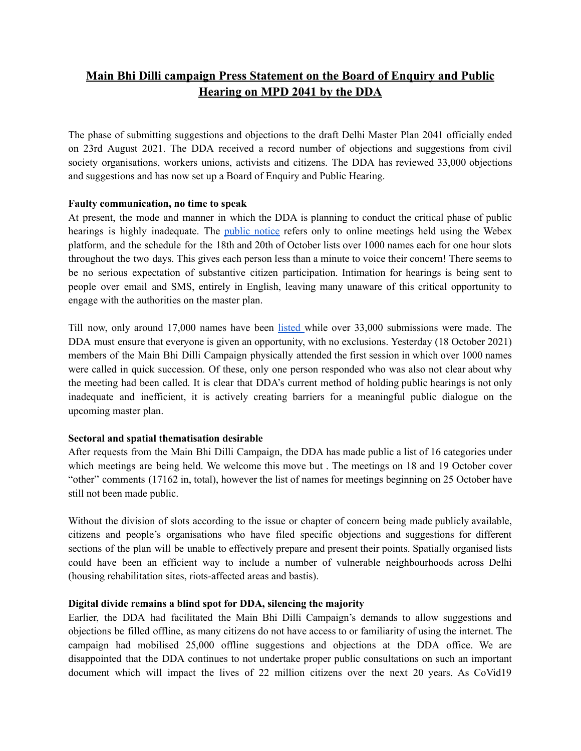# **Main Bhi Dilli campaign Press Statement on the Board of Enquiry and Public Hearing on MPD 2041 by the DDA**

The phase of submitting suggestions and objections to the draft Delhi Master Plan 2041 officially ended on 23rd August 2021. The DDA received a record number of objections and suggestions from civil society organisations, workers unions, activists and citizens. The DDA has reviewed 33,000 objections and suggestions and has now set up a Board of Enquiry and Public Hearing.

### **Faulty communication, no time to speak**

At present, the mode and manner in which the DDA is planning to conduct the critical phase of public hearings is highly inadequate. The [public](https://dda.gov.in/sites/default/files/notice/DDA%20Notice%202021_English13102021.pdf) notice refers only to online meetings held using the Webex platform, and the schedule for the 18th and 20th of October lists over 1000 names each for one hour slots throughout the two days. This gives each person less than a minute to voice their concern! There seems to be no serious expectation of substantive citizen participation. Intimation for hearings is being sent to people over email and SMS, entirely in English, leaving many unaware of this critical opportunity to engage with the authorities on the master plan.

Till now, only around 17,000 names have been [listed](https://dda.gov.in/whats-new) while over 33,000 submissions were made. The DDA must ensure that everyone is given an opportunity, with no exclusions. Yesterday (18 October 2021) members of the Main Bhi Dilli Campaign physically attended the first session in which over 1000 names were called in quick succession. Of these, only one person responded who was also not clear about why the meeting had been called. It is clear that DDA's current method of holding public hearings is not only inadequate and inefficient, it is actively creating barriers for a meaningful public dialogue on the upcoming master plan.

# **Sectoral and spatial thematisation desirable**

After requests from the Main Bhi Dilli Campaign, the DDA has made public a list of 16 categories under which meetings are being held. We welcome this move but . The meetings on 18 and 19 October cover "other" comments (17162 in, total), however the list of names for meetings beginning on 25 October have still not been made public.

Without the division of slots according to the issue or chapter of concern being made publicly available, citizens and people's organisations who have filed specific objections and suggestions for different sections of the plan will be unable to effectively prepare and present their points. Spatially organised lists could have been an efficient way to include a number of vulnerable neighbourhoods across Delhi (housing rehabilitation sites, riots-affected areas and bastis).

#### **Digital divide remains a blind spot for DDA, silencing the majority**

Earlier, the DDA had facilitated the Main Bhi Dilli Campaign's demands to allow suggestions and objections be filled offline, as many citizens do not have access to or familiarity of using the internet. The campaign had mobilised 25,000 offline suggestions and objections at the DDA office. We are disappointed that the DDA continues to not undertake proper public consultations on such an important document which will impact the lives of 22 million citizens over the next 20 years. As CoVid19